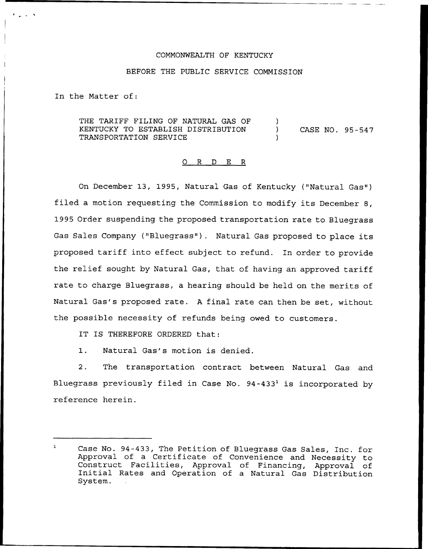## COMMONWEALTH OF KENTUCKY

## BEFORE THE PUBLIC SERVICE COMMISSION

In the Matter of:

THE TARIFF FILING OF NATURAL GAS OF KENTUCKY TO ESTABLISH DISTRIBUTION TRANSPORTATION SERVICE  $)$ ) CASE NO. 95-547 )

## 0 R <sup>D</sup> E R

On December 13, 1995, Natural Gas of Kentucky ("Natural Gas") filed a motion requesting the Commission to modify its December 8, 1995 Order suspending the proposed transportation rate to Bluegrass Gas Sales Company ("Bluegrass"). Natural Gas proposed to place its proposed tariff into effect subject to refund. In order to provide the relief sought by Natural Gas, that of having an approved tariff rate to charge Bluegrass, a hearing should be held on the merits of Natural Gas's proposed rate. <sup>A</sup> final rate can then be set, without the possible necessity of refunds being owed to customers.

IT IS THEREFORE ORDERED that:

1. Natural Gas's motion is denied.

2. The transportation contract between Natural Gas and Bluegrass previously filed in Case No.  $94-433<sup>1</sup>$  is incorporated by reference herein.

 $\mathbf{r}$ Case No. 94-433, The Petition of Bluegrass Gas Sales, Inc. for Approval of a Certificate of Convenience and Necessity to Construct Facilities, Approval of Financing, Approval of Initial Rates and Operation of <sup>a</sup> Natural Gas Distribution System.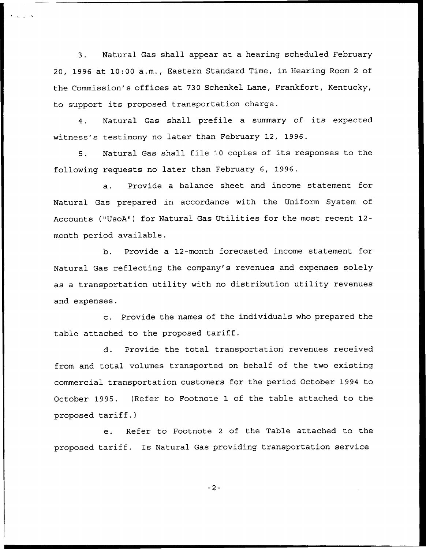3. Natural Gas shall appear at a hearing scheduled February 20, 1996 at 10:00 a.m., Eastern Standard Time, in Hearing Room <sup>2</sup> of the Commission's offices at 730 Schenkel Lane, Frankfort, Kentucky, to support its proposed transportation charge.

4. Natural Gas shall prefile <sup>a</sup> summary of its expected witness's testimony no later than February 12, 1996.

5. Natural Gas shall file <sup>10</sup> copies of its responses to the following requests no later than February 6, 1996.

a. Provide a balance sheet and income statement for Natural Gas prepared in accordance with the Uniform System of Accounts ("UsoA") for Natural Gas Utilities for the most recent 12 month period available.

b. Provide a 12-month forecasted income statement for Natural Gas reflecting the company's revenues and expenses solely as a transportation utility with no distribution utility revenues and expenses.

c. Provide the names of the individuals who prepared the table attached to the proposed tariff.

d. Provide the total transportation revenues received from and total volumes transported on behalf of the two existing commercial transportation customers for the period October 1994 to October 1995. (Refer to Footnote 1 of the table attached to the proposed tariff.)

e. Refer to Footnote <sup>2</sup> of the Table attached to the proposed tariff. Is Natural Gas providing transportation service

 $-2-$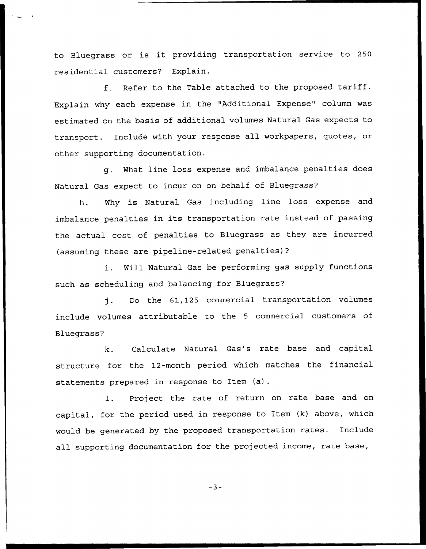to Bluegrass or is it providing transportation service to <sup>250</sup> residential customers? Explain.

f. Refer to the Table attached to the proposed tariff. Explain why each expense in the "Additional Expense" column was estimated on the basis of additional volumes Natural Gas expects to transport. Include with your response all workpapers, quotes, or other supporting documentation.

g. What line loss expense and imbalance penalties does Natural Gas expect to incur on on behalf of Bluegrass'

h. Why is Natural Gas including line loss expense and imbalance penalties in its transportation rate instead of passing the actual cost of penalties to Bluegrass as they are incurred (assuming these are pipeline-related penalties)?

i. Will Natural Gas be performing gas supply functions such as scheduling and balancing for Bluegrass?

j. Do the 61,125 commercial transportation volumes include volumes attributable to the <sup>5</sup> commercial customers of Bluegrass?

Calculate Natural Gas's rate base and capital  $k$ . structure for the 12-month period which matches the financial statements prepared in response to Item (a).

l. Project the rate of return on rate base and on capital, for the period used in response to Item (k) above, which would be generated by the proposed transportation rates. Include all supporting documentation for the projected income, rate base,

 $-3-$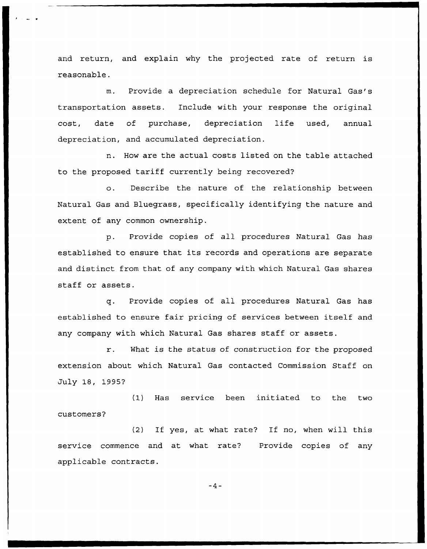and return, and explain why the projected rate of return is reasonable.

m. Provide a depreciation schedule for Natural Gas's transportation assets. Include with your response the original cost, date of purchase, depreciation life used, annual depreciation, and accumulated depreciation.

n. How are the actual costs listed on the table attached to the proposed tariff currently being recovered'?

o. Describe the nature of the relationship between Natural Gas and Bluegrass, specifically identifying the nature and extent of any common ownership.

p. Provide copies of all procedures Natural Gas has established to ensure that its records and operations are separate and distinct from that of any company with which Natural Gas shares staff or assets.

q. Provide copies of all procedures Natural Gas has established to ensure fair pricing of services between itself and any company with which Natural Gas shares staff or assets.

r. What is the status of construction for the proposed extension about which Natural Gas contacted Commission Staff on July 18, 1995?

(1) Has service been initiated to the two customers?

(2) If yes, at what rate? If no, when will this service commence and at what rate? Provide copies of any applicable contracts.

 $-4-$